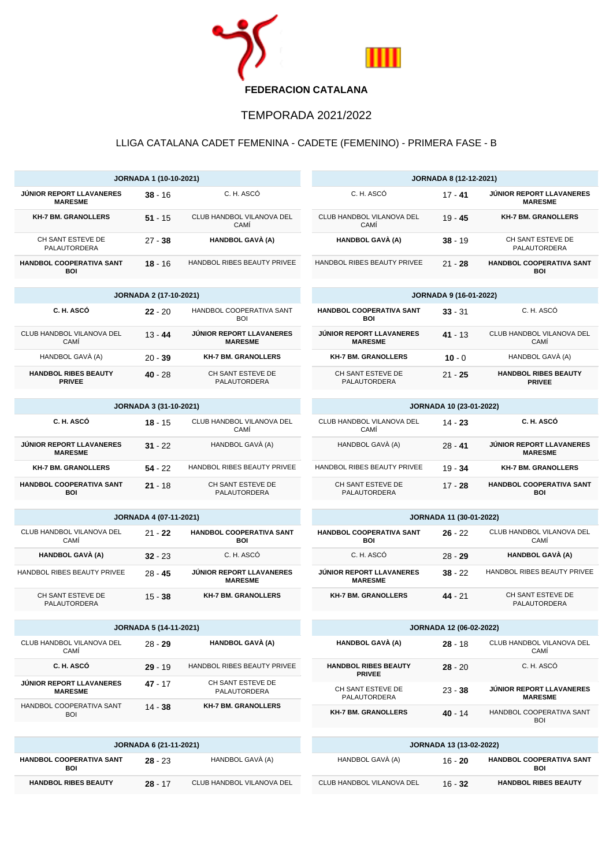

## TEMPORADA 2021/2022

## LLIGA CATALANA CADET FEMENINA - CADETE (FEMENINO) - PRIMERA FASE - B

| <b>JORNADA 1 (10-10-2021)</b>                 |                               |                                            | <b>JORNADA 8 (12-12-2021)</b>                     |           |                                                   |
|-----------------------------------------------|-------------------------------|--------------------------------------------|---------------------------------------------------|-----------|---------------------------------------------------|
| JÚNIOR REPORT LLAVANERES<br><b>MARESME</b>    | $38 - 16$                     | C. H. ASCÓ                                 | C. H. ASCÓ                                        | $17 - 41$ | JÚNIOR REPORT LLAVANERES<br><b>MARESME</b>        |
| <b>KH-7 BM. GRANOLLERS</b>                    | $51 - 15$                     | CLUB HANDBOL VILANOVA DEL<br>CAMÍ          | CLUB HANDBOL VILANOVA DEL<br>CAMÍ                 | $19 - 45$ | <b>KH-7 BM. GRANOLLERS</b>                        |
| CH SANT ESTEVE DE<br>PALAUTORDERA             | $27 - 38$                     | HANDBOL GAVÀ (A)                           | <b>HANDBOL GAVÀ (A)</b>                           | $38 - 19$ | CH SANT ESTEVE DE<br>PALAUTORDERA                 |
| <b>HANDBOL COOPERATIVA SANT</b><br><b>BOI</b> | $18 - 16$                     | HANDBOL RIBES BEAUTY PRIVEE                | HANDBOL RIBES BEAUTY PRIVEE                       | $21 - 28$ | HANDBOL COOPERATIVA SANT<br><b>BOI</b>            |
| <b>JORNADA 2 (17-10-2021)</b>                 |                               |                                            | <b>JORNADA 9 (16-01-2022)</b>                     |           |                                                   |
| C. H. ASCÓ                                    | $22 - 20$                     | HANDBOL COOPERATIVA SANT<br>BOI            | HANDBOL COOPERATIVA SANT<br><b>BOI</b>            | $33 - 31$ | C. H. ASCÓ                                        |
| CLUB HANDBOL VILANOVA DEL<br>CAMÍ             | $13 - 44$                     | JÚNIOR REPORT LLAVANERES<br><b>MARESME</b> | <b>JÚNIOR REPORT LLAVANERES</b><br><b>MARESME</b> | 41 - 13   | CLUB HANDBOL VILANOVA DEL<br>CAMÍ                 |
| HANDBOL GAVÀ (A)                              | $20 - 39$                     | <b>KH-7 BM. GRANOLLERS</b>                 | <b>KH-7 BM. GRANOLLERS</b>                        | $10 - 0$  | HANDBOL GAVÀ (A)                                  |
| <b>HANDBOL RIBES BEAUTY</b><br><b>PRIVEE</b>  | $40 - 28$                     | CH SANT ESTEVE DE<br>PALAUTORDERA          | CH SANT ESTEVE DE<br>PALAUTORDERA                 | 21 - 25   | <b>HANDBOL RIBES BEAUTY</b><br><b>PRIVEE</b>      |
| <b>JORNADA 3 (31-10-2021)</b>                 |                               |                                            | JORNADA 10 (23-01-2022)                           |           |                                                   |
| C. H. ASCÓ                                    | $18 - 15$                     | CLUB HANDBOL VILANOVA DEL<br>CAMI          | CLUB HANDBOL VILANOVA DEL<br>CAMI                 | $14 - 23$ | C. H. ASCÓ                                        |
| JÚNIOR REPORT LLAVANERES<br><b>MARESME</b>    | $31 - 22$                     | HANDBOL GAVÀ (A)                           | HANDBOL GAVÀ (A)                                  | $28 - 41$ | <b>JÚNIOR REPORT LLAVANERES</b><br><b>MARESME</b> |
| <b>KH-7 BM. GRANOLLERS</b>                    | $54 - 22$                     | HANDBOL RIBES BEAUTY PRIVEE                | HANDBOL RIBES BEAUTY PRIVEE                       | $19 - 34$ | <b>KH-7 BM. GRANOLLERS</b>                        |
| HANDBOL COOPERATIVA SANT<br><b>BOI</b>        | $21 - 18$                     | CH SANT ESTEVE DE<br>PALAUTORDERA          | CH SANT ESTEVE DE<br>PALAUTORDERA                 | $17 - 28$ | HANDBOL COOPERATIVA SANT<br><b>BOI</b>            |
|                                               | <b>JORNADA 4 (07-11-2021)</b> | <b>JORNADA 11 (30-01-2022)</b>             |                                                   |           |                                                   |
| CLUB HANDBOL VILANOVA DEL<br>CAMÍ             | 21 - 22                       | HANDBOL COOPERATIVA SANT<br><b>BOI</b>     | HANDBOL COOPERATIVA SANT<br><b>BOI</b>            | 26 - 22   | CLUB HANDBOL VILANOVA DEL<br>CAMI                 |
| <b>HANDBOL GAVÀ (A)</b>                       | $32 - 23$                     | C. H. ASCÓ                                 | C. H. ASCÓ                                        | $28 - 29$ | <b>HANDBOL GAVÀ (A)</b>                           |
| HANDBOL RIBES BEAUTY PRIVEE                   | $28 - 45$                     | JÚNIOR REPORT LLAVANERES<br><b>MARESME</b> | JÚNIOR REPORT LLAVANERES<br><b>MARESME</b>        | $38 - 22$ | HANDBOL RIBES BEAUTY PRIVEE                       |
| CH SANT ESTEVE DE<br>PALAUTORDERA             | $15 - 38$                     | <b>KH-7 BM. GRANOLLERS</b>                 | <b>KH-7 BM. GRANOLLERS</b>                        | $44 - 21$ | CH SANT ESTEVE DE<br>PALAUTORDERA                 |
| <b>JORNADA 5 (14-11-2021)</b>                 |                               |                                            | <b>JORNADA 12 (06-02-2022)</b>                    |           |                                                   |
| CLUB HANDBOL VILANOVA DEL<br>CAMI             | 28 - 29                       | <b>HANDBOL GAVÀ (A)</b>                    | HANDBOL GAVÀ (A)                                  | 28 - 18   | CLUB HANDBOL VILANOVA DEL<br>CAMI                 |
| C. H. ASCÓ                                    | $29 - 19$                     | HANDBOL RIBES BEAUTY PRIVEE                | <b>HANDBOL RIBES BEAUTY</b><br><b>PRIVEE</b>      | $28 - 20$ | C. H. ASCÓ                                        |
| JÚNIOR REPORT LLAVANERES<br><b>MARESME</b>    | 47 - 17                       | CH SANT ESTEVE DE<br>PALAUTORDERA          | CH SANT ESTEVE DE<br>PALAUTORDERA                 | $23 - 38$ | JÚNIOR REPORT LLAVANERES<br><b>MARESME</b>        |
| HANDBOL COOPERATIVA SANT<br><b>BOI</b>        | 14 - 38                       | <b>KH-7 BM. GRANOLLERS</b>                 | <b>KH-7 BM. GRANOLLERS</b>                        | 40 - 14   | HANDBOL COOPERATIVA SANT<br><b>BOI</b>            |
| JORNADA 6 (21-11-2021)                        |                               |                                            | JORNADA 13 (13-02-2022)                           |           |                                                   |
| <b>HANDBOL COOPERATIVA SANT</b><br>BOI        | $28 - 23$                     | HANDBOL GAVÀ (A)                           | HANDBOL GAVÀ (A)                                  | 16 - 20   | HANDBOL COOPERATIVA SANT<br>BOI                   |
| <b>HANDBOL RIBES BEAUTY</b>                   | $28 - 17$                     | CLUB HANDBOL VILANOVA DEL                  | CLUB HANDBOL VILANOVA DEL                         | $16 - 32$ | <b>HANDBOL RIBES BEAUTY</b>                       |